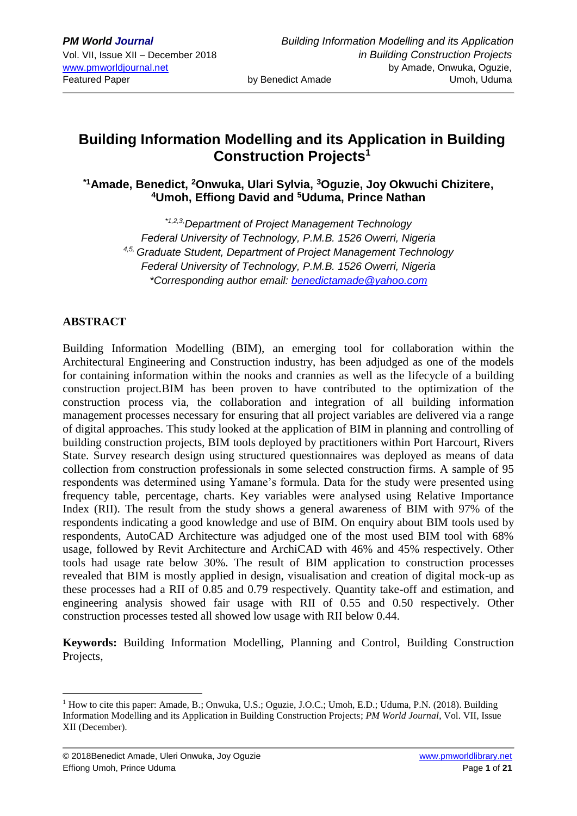# **Building Information Modelling and its Application in Building Construction Projects<sup>1</sup>**

**\*1Amade, Benedict, <sup>2</sup>Onwuka, Ulari Sylvia, <sup>3</sup>Oguzie, Joy Okwuchi Chizitere, <sup>4</sup>Umoh, Effiong David and <sup>5</sup>Uduma, Prince Nathan**

*\*1,2,3,Department of Project Management Technology Federal University of Technology, P.M.B. 1526 Owerri, Nigeria 4,5, Graduate Student, Department of Project Management Technology Federal University of Technology, P.M.B. 1526 Owerri, Nigeria \*Corresponding author email: [benedictamade@yahoo.com](mailto:benedictamade@yahoo.com)*

# **ABSTRACT**

1

Building Information Modelling (BIM), an emerging tool for collaboration within the Architectural Engineering and Construction industry, has been adjudged as one of the models for containing information within the nooks and crannies as well as the lifecycle of a building construction project.BIM has been proven to have contributed to the optimization of the construction process via, the collaboration and integration of all building information management processes necessary for ensuring that all project variables are delivered via a range of digital approaches. This study looked at the application of BIM in planning and controlling of building construction projects, BIM tools deployed by practitioners within Port Harcourt, Rivers State. Survey research design using structured questionnaires was deployed as means of data collection from construction professionals in some selected construction firms. A sample of 95 respondents was determined using Yamane's formula. Data for the study were presented using frequency table, percentage, charts. Key variables were analysed using Relative Importance Index (RII). The result from the study shows a general awareness of BIM with 97% of the respondents indicating a good knowledge and use of BIM. On enquiry about BIM tools used by respondents, AutoCAD Architecture was adjudged one of the most used BIM tool with 68% usage, followed by Revit Architecture and ArchiCAD with 46% and 45% respectively. Other tools had usage rate below 30%. The result of BIM application to construction processes revealed that BIM is mostly applied in design, visualisation and creation of digital mock-up as these processes had a RII of 0.85 and 0.79 respectively. Quantity take-off and estimation, and engineering analysis showed fair usage with RII of 0.55 and 0.50 respectively. Other construction processes tested all showed low usage with RII below 0.44.

**Keywords:** Building Information Modelling, Planning and Control, Building Construction Projects,

<sup>&</sup>lt;sup>1</sup> How to cite this paper: Amade, B.; Onwuka, U.S.; Oguzie, J.O.C.; Umoh, E.D.; Uduma, P.N. (2018). Building Information Modelling and its Application in Building Construction Projects; *PM World Journal*, Vol. VII, Issue XII (December).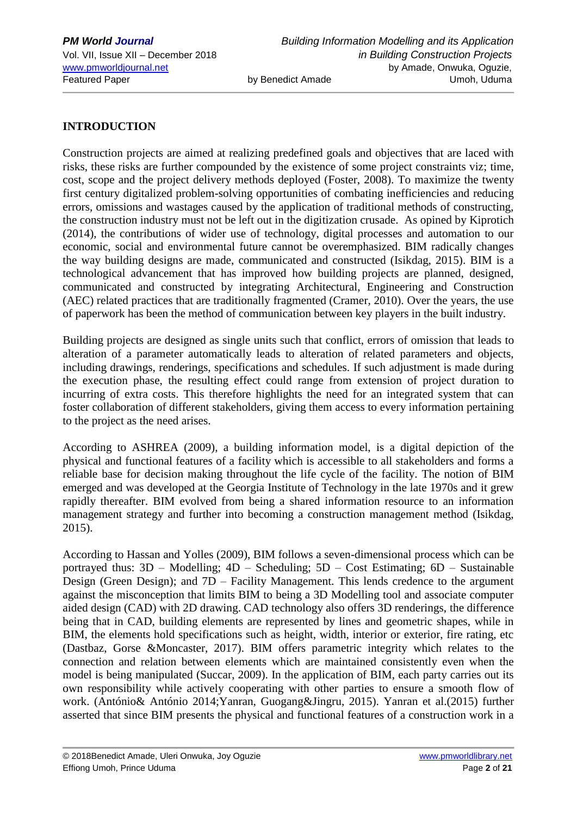## **INTRODUCTION**

Construction projects are aimed at realizing predefined goals and objectives that are laced with risks, these risks are further compounded by the existence of some project constraints viz; time, cost, scope and the project delivery methods deployed (Foster, 2008). To maximize the twenty first century digitalized problem-solving opportunities of combating inefficiencies and reducing errors, omissions and wastages caused by the application of traditional methods of constructing, the construction industry must not be left out in the digitization crusade. As opined by Kiprotich (2014), the contributions of wider use of technology, digital processes and automation to our economic, social and environmental future cannot be overemphasized. BIM radically changes the way building designs are made, communicated and constructed (Isikdag, 2015). BIM is a technological advancement that has improved how building projects are planned, designed, communicated and constructed by integrating Architectural, Engineering and Construction (AEC) related practices that are traditionally fragmented (Cramer, 2010). Over the years, the use of paperwork has been the method of communication between key players in the built industry.

Building projects are designed as single units such that conflict, errors of omission that leads to alteration of a parameter automatically leads to alteration of related parameters and objects, including drawings, renderings, specifications and schedules. If such adjustment is made during the execution phase, the resulting effect could range from extension of project duration to incurring of extra costs. This therefore highlights the need for an integrated system that can foster collaboration of different stakeholders, giving them access to every information pertaining to the project as the need arises.

According to ASHREA (2009), a building information model, is a digital depiction of the physical and functional features of a facility which is accessible to all stakeholders and forms a reliable base for decision making throughout the life cycle of the facility. The notion of BIM emerged and was developed at the Georgia Institute of Technology in the late 1970s and it grew rapidly thereafter. BIM evolved from being a shared information resource to an information management strategy and further into becoming a construction management method (Isikdag, 2015).

According to Hassan and Yolles (2009), BIM follows a seven-dimensional process which can be portrayed thus: 3D – Modelling; 4D – Scheduling; 5D – Cost Estimating; 6D – Sustainable Design (Green Design); and 7D – Facility Management. This lends credence to the argument against the misconception that limits BIM to being a 3D Modelling tool and associate computer aided design (CAD) with 2D drawing. CAD technology also offers 3D renderings, the difference being that in CAD, building elements are represented by lines and geometric shapes, while in BIM, the elements hold specifications such as height, width, interior or exterior, fire rating, etc (Dastbaz, Gorse &Moncaster, 2017). BIM offers parametric integrity which relates to the connection and relation between elements which are maintained consistently even when the model is being manipulated (Succar, 2009). In the application of BIM, each party carries out its own responsibility while actively cooperating with other parties to ensure a smooth flow of work. (António& António 2014;Yanran, Guogang&Jingru, 2015). Yanran et al.(2015) further asserted that since BIM presents the physical and functional features of a construction work in a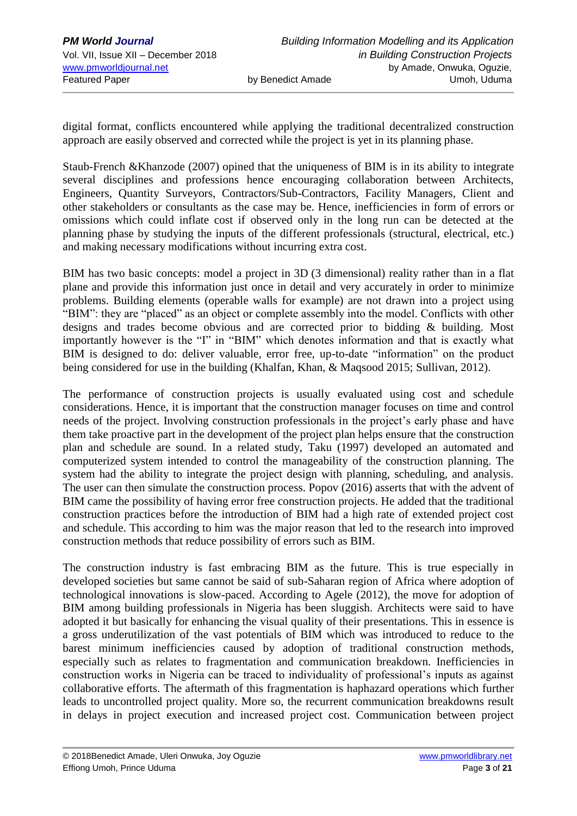digital format, conflicts encountered while applying the traditional decentralized construction approach are easily observed and corrected while the project is yet in its planning phase.

Staub-French &Khanzode (2007) opined that the uniqueness of BIM is in its ability to integrate several disciplines and professions hence encouraging collaboration between Architects, Engineers, Quantity Surveyors, Contractors/Sub-Contractors, Facility Managers, Client and other stakeholders or consultants as the case may be. Hence, inefficiencies in form of errors or omissions which could inflate cost if observed only in the long run can be detected at the planning phase by studying the inputs of the different professionals (structural, electrical, etc.) and making necessary modifications without incurring extra cost.

BIM has two basic concepts: model a project in 3D (3 dimensional) reality rather than in a flat plane and provide this information just once in detail and very accurately in order to minimize problems. Building elements (operable walls for example) are not drawn into a project using "BIM": they are "placed" as an object or complete assembly into the model. Conflicts with other designs and trades become obvious and are corrected prior to bidding & building. Most importantly however is the "I" in "BIM" which denotes information and that is exactly what BIM is designed to do: deliver valuable, error free, up-to-date "information" on the product being considered for use in the building (Khalfan, Khan, & Maqsood 2015; Sullivan, 2012).

The performance of construction projects is usually evaluated using cost and schedule considerations. Hence, it is important that the construction manager focuses on time and control needs of the project. Involving construction professionals in the project's early phase and have them take proactive part in the development of the project plan helps ensure that the construction plan and schedule are sound. In a related study, Taku (1997) developed an automated and computerized system intended to control the manageability of the construction planning. The system had the ability to integrate the project design with planning, scheduling, and analysis. The user can then simulate the construction process. Popov (2016) asserts that with the advent of BIM came the possibility of having error free construction projects. He added that the traditional construction practices before the introduction of BIM had a high rate of extended project cost and schedule. This according to him was the major reason that led to the research into improved construction methods that reduce possibility of errors such as BIM.

The construction industry is fast embracing BIM as the future. This is true especially in developed societies but same cannot be said of sub-Saharan region of Africa where adoption of technological innovations is slow-paced. According to Agele (2012), the move for adoption of BIM among building professionals in Nigeria has been sluggish. Architects were said to have adopted it but basically for enhancing the visual quality of their presentations. This in essence is a gross underutilization of the vast potentials of BIM which was introduced to reduce to the barest minimum inefficiencies caused by adoption of traditional construction methods, especially such as relates to fragmentation and communication breakdown. Inefficiencies in construction works in Nigeria can be traced to individuality of professional's inputs as against collaborative efforts. The aftermath of this fragmentation is haphazard operations which further leads to uncontrolled project quality. More so, the recurrent communication breakdowns result in delays in project execution and increased project cost. Communication between project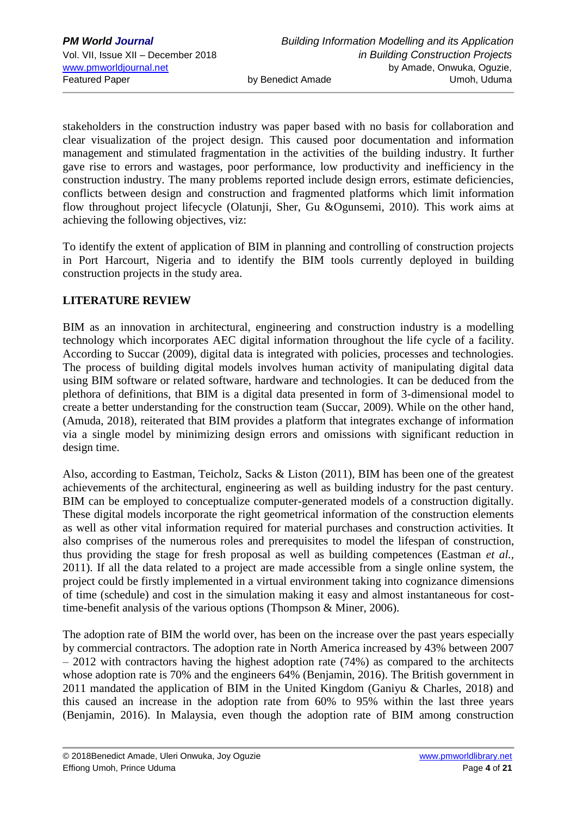stakeholders in the construction industry was paper based with no basis for collaboration and clear visualization of the project design. This caused poor documentation and information management and stimulated fragmentation in the activities of the building industry. It further gave rise to errors and wastages, poor performance, low productivity and inefficiency in the construction industry. The many problems reported include design errors, estimate deficiencies, conflicts between design and construction and fragmented platforms which limit information flow throughout project lifecycle (Olatunji, Sher, Gu &Ogunsemi, 2010). This work aims at achieving the following objectives, viz:

To identify the extent of application of BIM in planning and controlling of construction projects in Port Harcourt, Nigeria and to identify the BIM tools currently deployed in building construction projects in the study area.

# **LITERATURE REVIEW**

BIM as an innovation in architectural, engineering and construction industry is a modelling technology which incorporates AEC digital information throughout the life cycle of a facility. According to Succar (2009), digital data is integrated with policies, processes and technologies. The process of building digital models involves human activity of manipulating digital data using BIM software or related software, hardware and technologies. It can be deduced from the plethora of definitions, that BIM is a digital data presented in form of 3-dimensional model to create a better understanding for the construction team (Succar, 2009). While on the other hand, (Amuda, 2018), reiterated that BIM provides a platform that integrates exchange of information via a single model by minimizing design errors and omissions with significant reduction in design time.

Also, according to Eastman, Teicholz, Sacks & Liston (2011), BIM has been one of the greatest achievements of the architectural, engineering as well as building industry for the past century. BIM can be employed to conceptualize computer-generated models of a construction digitally. These digital models incorporate the right geometrical information of the construction elements as well as other vital information required for material purchases and construction activities. It also comprises of the numerous roles and prerequisites to model the lifespan of construction, thus providing the stage for fresh proposal as well as building competences (Eastman *et al.,*  2011). If all the data related to a project are made accessible from a single online system, the project could be firstly implemented in a virtual environment taking into cognizance dimensions of time (schedule) and cost in the simulation making it easy and almost instantaneous for costtime-benefit analysis of the various options (Thompson & Miner, 2006).

The adoption rate of BIM the world over, has been on the increase over the past years especially by commercial contractors. The adoption rate in North America increased by 43% between 2007 – 2012 with contractors having the highest adoption rate (74%) as compared to the architects whose adoption rate is 70% and the engineers 64% (Benjamin, 2016). The British government in 2011 mandated the application of BIM in the United Kingdom (Ganiyu & Charles, 2018) and this caused an increase in the adoption rate from 60% to 95% within the last three years (Benjamin, 2016). In Malaysia, even though the adoption rate of BIM among construction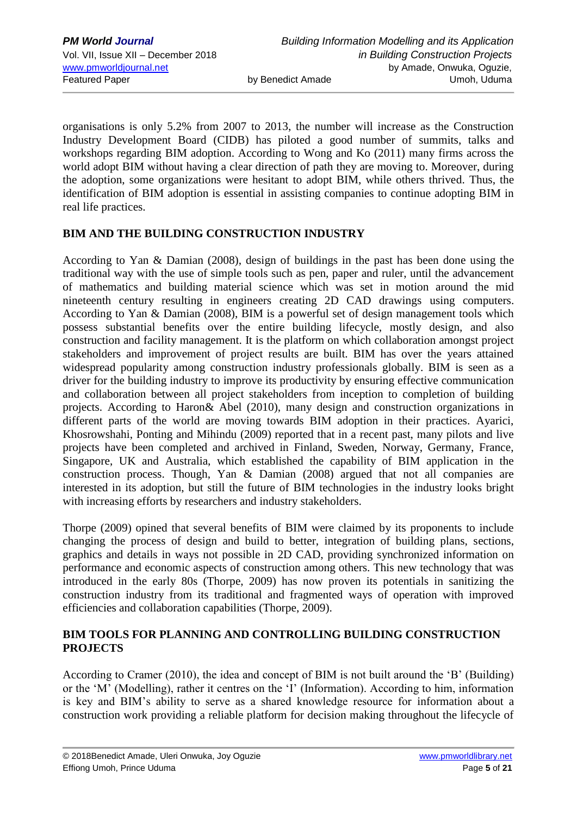organisations is only 5.2% from 2007 to 2013, the number will increase as the Construction Industry Development Board (CIDB) has piloted a good number of summits, talks and workshops regarding BIM adoption. According to Wong and Ko (2011) many firms across the world adopt BIM without having a clear direction of path they are moving to. Moreover, during the adoption, some organizations were hesitant to adopt BIM, while others thrived. Thus, the identification of BIM adoption is essential in assisting companies to continue adopting BIM in real life practices.

### **BIM AND THE BUILDING CONSTRUCTION INDUSTRY**

According to Yan & Damian (2008), design of buildings in the past has been done using the traditional way with the use of simple tools such as pen, paper and ruler, until the advancement of mathematics and building material science which was set in motion around the mid nineteenth century resulting in engineers creating 2D CAD drawings using computers. According to Yan & Damian (2008), BIM is a powerful set of design management tools which possess substantial benefits over the entire building lifecycle, mostly design, and also construction and facility management. It is the platform on which collaboration amongst project stakeholders and improvement of project results are built. BIM has over the years attained widespread popularity among construction industry professionals globally. BIM is seen as a driver for the building industry to improve its productivity by ensuring effective communication and collaboration between all project stakeholders from inception to completion of building projects. According to Haron& Abel (2010), many design and construction organizations in different parts of the world are moving towards BIM adoption in their practices. Ayarici, Khosrowshahi, Ponting and Mihindu (2009) reported that in a recent past, many pilots and live projects have been completed and archived in Finland, Sweden, Norway, Germany, France, Singapore, UK and Australia, which established the capability of BIM application in the construction process. Though, Yan & Damian (2008) argued that not all companies are interested in its adoption, but still the future of BIM technologies in the industry looks bright with increasing efforts by researchers and industry stakeholders.

Thorpe (2009) opined that several benefits of BIM were claimed by its proponents to include changing the process of design and build to better, integration of building plans, sections, graphics and details in ways not possible in 2D CAD, providing synchronized information on performance and economic aspects of construction among others. This new technology that was introduced in the early 80s (Thorpe, 2009) has now proven its potentials in sanitizing the construction industry from its traditional and fragmented ways of operation with improved efficiencies and collaboration capabilities (Thorpe, 2009).

### **BIM TOOLS FOR PLANNING AND CONTROLLING BUILDING CONSTRUCTION PROJECTS**

According to Cramer (2010), the idea and concept of BIM is not built around the 'B' (Building) or the 'M' (Modelling), rather it centres on the 'I' (Information). According to him, information is key and BIM's ability to serve as a shared knowledge resource for information about a construction work providing a reliable platform for decision making throughout the lifecycle of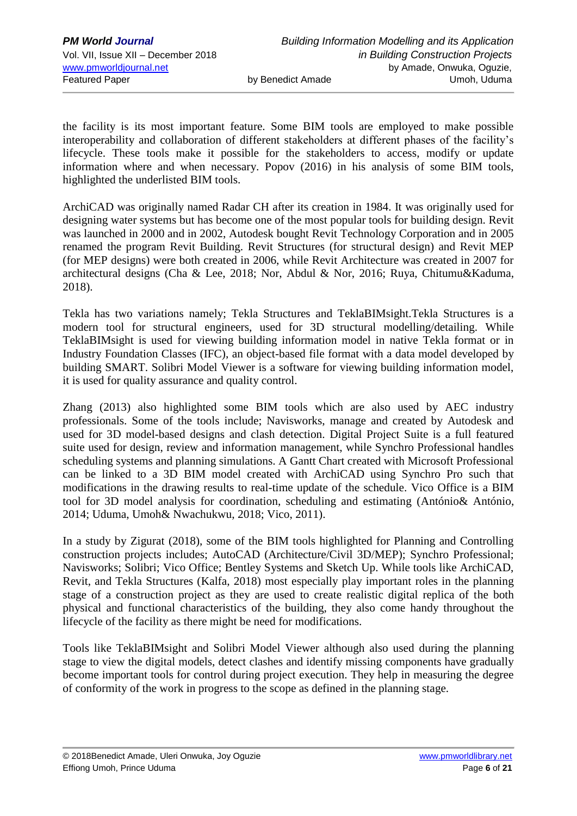the facility is its most important feature. Some BIM tools are employed to make possible interoperability and collaboration of different stakeholders at different phases of the facility's lifecycle. These tools make it possible for the stakeholders to access, modify or update information where and when necessary. Popov (2016) in his analysis of some BIM tools, highlighted the underlisted BIM tools.

ArchiCAD was originally named Radar CH after its creation in 1984. It was originally used for designing water systems but has become one of the most popular tools for building design. Revit was launched in 2000 and in 2002, Autodesk bought Revit Technology Corporation and in 2005 renamed the program Revit Building. Revit Structures (for structural design) and Revit MEP (for MEP designs) were both created in 2006, while Revit Architecture was created in 2007 for architectural designs (Cha & Lee, 2018; Nor, Abdul & Nor, 2016; Ruya, Chitumu&Kaduma, 2018).

Tekla has two variations namely; Tekla Structures and TeklaBIMsight.Tekla Structures is a modern tool for structural engineers, used for 3D structural modelling/detailing. While TeklaBIMsight is used for viewing building information model in native Tekla format or in Industry Foundation Classes (IFC), an object-based file format with a data model developed by building SMART. Solibri Model Viewer is a software for viewing building information model, it is used for quality assurance and quality control.

Zhang (2013) also highlighted some BIM tools which are also used by AEC industry professionals. Some of the tools include; Navisworks, manage and created by Autodesk and used for 3D model-based designs and clash detection. Digital Project Suite is a full featured suite used for design, review and information management, while Synchro Professional handles scheduling systems and planning simulations. A Gantt Chart created with Microsoft Professional can be linked to a 3D BIM model created with ArchiCAD using Synchro Pro such that modifications in the drawing results to real-time update of the schedule. Vico Office is a BIM tool for 3D model analysis for coordination, scheduling and estimating (António& António, 2014; Uduma, Umoh& Nwachukwu, 2018; Vico, 2011).

In a study by Zigurat (2018), some of the BIM tools highlighted for Planning and Controlling construction projects includes; AutoCAD (Architecture/Civil 3D/MEP); Synchro Professional; Navisworks; Solibri; Vico Office; Bentley Systems and Sketch Up. While tools like ArchiCAD, Revit, and Tekla Structures (Kalfa, 2018) most especially play important roles in the planning stage of a construction project as they are used to create realistic digital replica of the both physical and functional characteristics of the building, they also come handy throughout the lifecycle of the facility as there might be need for modifications.

Tools like TeklaBIMsight and Solibri Model Viewer although also used during the planning stage to view the digital models, detect clashes and identify missing components have gradually become important tools for control during project execution. They help in measuring the degree of conformity of the work in progress to the scope as defined in the planning stage.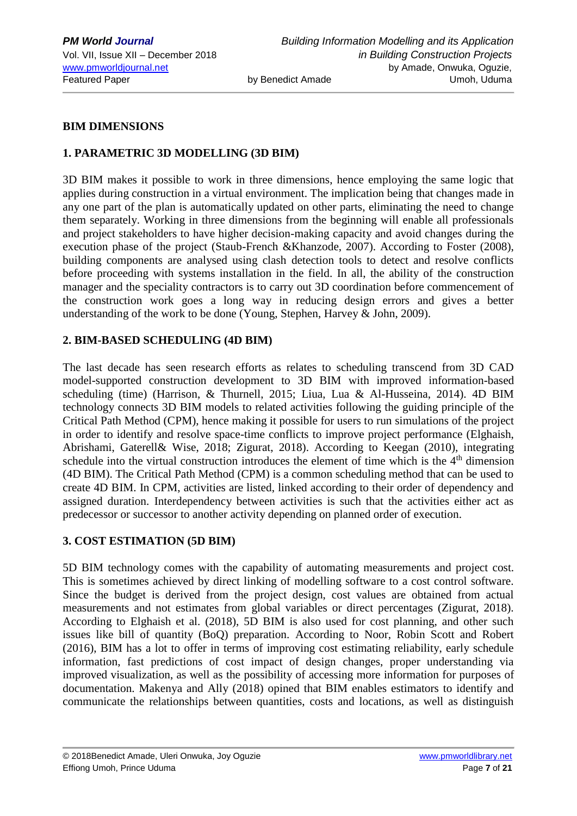#### **BIM DIMENSIONS**

## **1. PARAMETRIC 3D MODELLING (3D BIM)**

3D BIM makes it possible to work in three dimensions, hence employing the same logic that applies during construction in a virtual environment. The implication being that changes made in any one part of the plan is automatically updated on other parts, eliminating the need to change them separately. Working in three dimensions from the beginning will enable all professionals and project stakeholders to have higher decision-making capacity and avoid changes during the execution phase of the project (Staub-French &Khanzode, 2007). According to Foster (2008), building components are analysed using clash detection tools to detect and resolve conflicts before proceeding with systems installation in the field. In all, the ability of the construction manager and the speciality contractors is to carry out 3D coordination before commencement of the construction work goes a long way in reducing design errors and gives a better understanding of the work to be done (Young, Stephen, Harvey & John, 2009).

#### **2. BIM-BASED SCHEDULING (4D BIM)**

The last decade has seen research efforts as relates to scheduling transcend from 3D CAD model-supported construction development to 3D BIM with improved information-based scheduling (time) (Harrison, & Thurnell, 2015; Liua, Lua & Al-Husseina, 2014). 4D BIM technology connects 3D BIM models to related activities following the guiding principle of the Critical Path Method (CPM), hence making it possible for users to run simulations of the project in order to identify and resolve space-time conflicts to improve project performance (Elghaish, Abrishami, Gaterell& Wise, 2018; Zigurat, 2018). According to Keegan (2010), integrating schedule into the virtual construction introduces the element of time which is the  $4<sup>th</sup>$  dimension (4D BIM). The Critical Path Method (CPM) is a common scheduling method that can be used to create 4D BIM. In CPM, activities are listed, linked according to their order of dependency and assigned duration. Interdependency between activities is such that the activities either act as predecessor or successor to another activity depending on planned order of execution.

### **3. COST ESTIMATION (5D BIM)**

5D BIM technology comes with the capability of automating measurements and project cost. This is sometimes achieved by direct linking of modelling software to a cost control software. Since the budget is derived from the project design, cost values are obtained from actual measurements and not estimates from global variables or direct percentages (Zigurat, 2018). According to Elghaish et al. (2018), 5D BIM is also used for cost planning, and other such issues like bill of quantity (BoQ) preparation. According to Noor, Robin Scott and Robert (2016), BIM has a lot to offer in terms of improving cost estimating reliability, early schedule information, fast predictions of cost impact of design changes, proper understanding via improved visualization, as well as the possibility of accessing more information for purposes of documentation. Makenya and Ally (2018) opined that BIM enables estimators to identify and communicate the relationships between quantities, costs and locations, as well as distinguish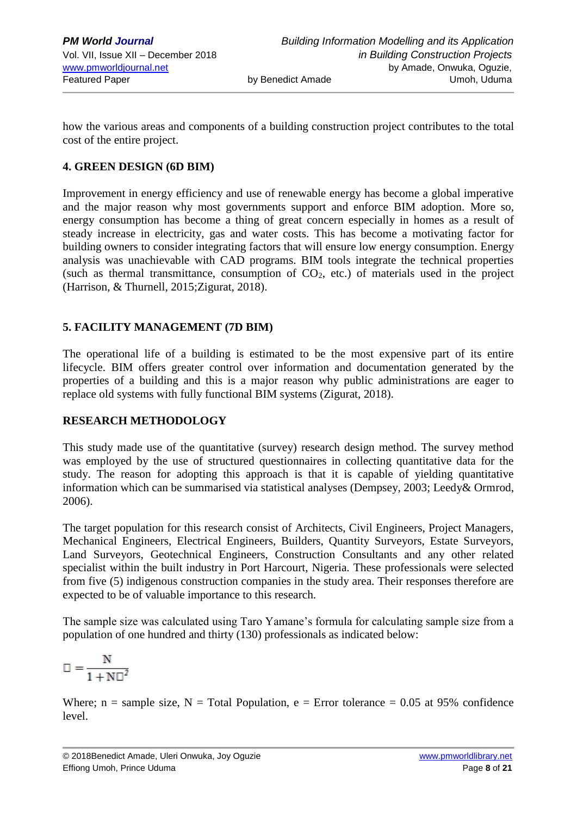how the various areas and components of a building construction project contributes to the total cost of the entire project.

## **4. GREEN DESIGN (6D BIM)**

Improvement in energy efficiency and use of renewable energy has become a global imperative and the major reason why most governments support and enforce BIM adoption. More so, energy consumption has become a thing of great concern especially in homes as a result of steady increase in electricity, gas and water costs. This has become a motivating factor for building owners to consider integrating factors that will ensure low energy consumption. Energy analysis was unachievable with CAD programs. BIM tools integrate the technical properties (such as thermal transmittance, consumption of  $CO<sub>2</sub>$ , etc.) of materials used in the project (Harrison, & Thurnell, 2015;Zigurat, 2018).

### **5. FACILITY MANAGEMENT (7D BIM)**

The operational life of a building is estimated to be the most expensive part of its entire lifecycle. BIM offers greater control over information and documentation generated by the properties of a building and this is a major reason why public administrations are eager to replace old systems with fully functional BIM systems (Zigurat, 2018).

### **RESEARCH METHODOLOGY**

This study made use of the quantitative (survey) research design method. The survey method was employed by the use of structured questionnaires in collecting quantitative data for the study. The reason for adopting this approach is that it is capable of yielding quantitative information which can be summarised via statistical analyses (Dempsey, 2003; Leedy& Ormrod, 2006).

The target population for this research consist of Architects, Civil Engineers, Project Managers, Mechanical Engineers, Electrical Engineers, Builders, Quantity Surveyors, Estate Surveyors, Land Surveyors, Geotechnical Engineers, Construction Consultants and any other related specialist within the built industry in Port Harcourt, Nigeria. These professionals were selected from five (5) indigenous construction companies in the study area. Their responses therefore are expected to be of valuable importance to this research.

The sample size was calculated using Taro Yamane's formula for calculating sample size from a population of one hundred and thirty (130) professionals as indicated below:

$$
\Box = \frac{N}{1 + N \Box^2}
$$

Where;  $n =$  sample size,  $N =$  Total Population,  $e =$  Error tolerance = 0.05 at 95% confidence level.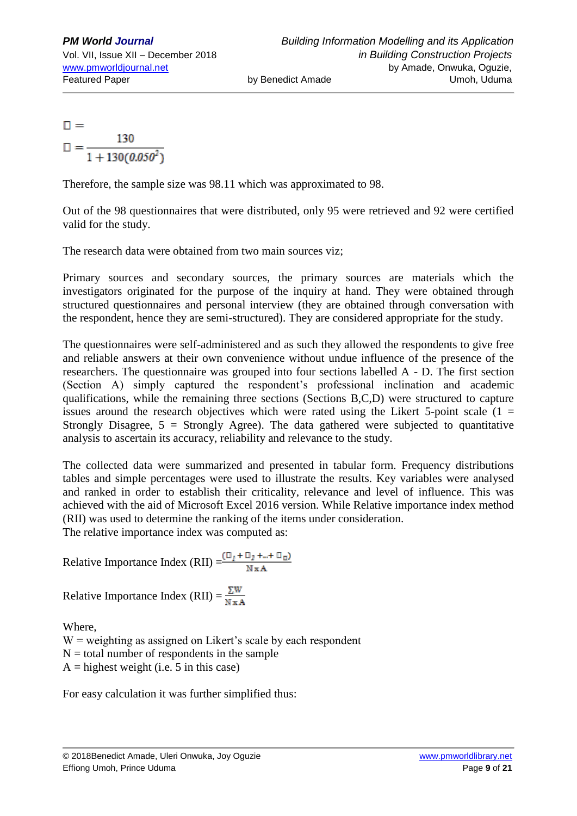$\Box$  =  $\Box = \frac{130}{1 + 130(0.050^2)}$ 

Therefore, the sample size was 98.11 which was approximated to 98.

Out of the 98 questionnaires that were distributed, only 95 were retrieved and 92 were certified valid for the study.

The research data were obtained from two main sources viz;

Primary sources and secondary sources, the primary sources are materials which the investigators originated for the purpose of the inquiry at hand. They were obtained through structured questionnaires and personal interview (they are obtained through conversation with the respondent, hence they are semi-structured). They are considered appropriate for the study.

The questionnaires were self-administered and as such they allowed the respondents to give free and reliable answers at their own convenience without undue influence of the presence of the researchers. The questionnaire was grouped into four sections labelled A - D. The first section (Section A) simply captured the respondent's professional inclination and academic qualifications, while the remaining three sections (Sections B,C,D) were structured to capture issues around the research objectives which were rated using the Likert 5-point scale  $(1 =$ Strongly Disagree,  $5 =$  Strongly Agree). The data gathered were subjected to quantitative analysis to ascertain its accuracy, reliability and relevance to the study.

The collected data were summarized and presented in tabular form. Frequency distributions tables and simple percentages were used to illustrate the results. Key variables were analysed and ranked in order to establish their criticality, relevance and level of influence. This was achieved with the aid of Microsoft Excel 2016 version. While Relative importance index method (RII) was used to determine the ranking of the items under consideration. The relative importance index was computed as:

Relative Importance Index (RII)  $=\frac{(\Box_I + \Box_2 + ... + \Box_D)}{N \times A}$ 

Relative Importance Index (RII) =  $\frac{\Sigma W}{N \times A}$ 

Where,

 $W$  = weighting as assigned on Likert's scale by each respondent  $N =$  total number of respondents in the sample  $A =$ highest weight (i.e. 5 in this case)

For easy calculation it was further simplified thus: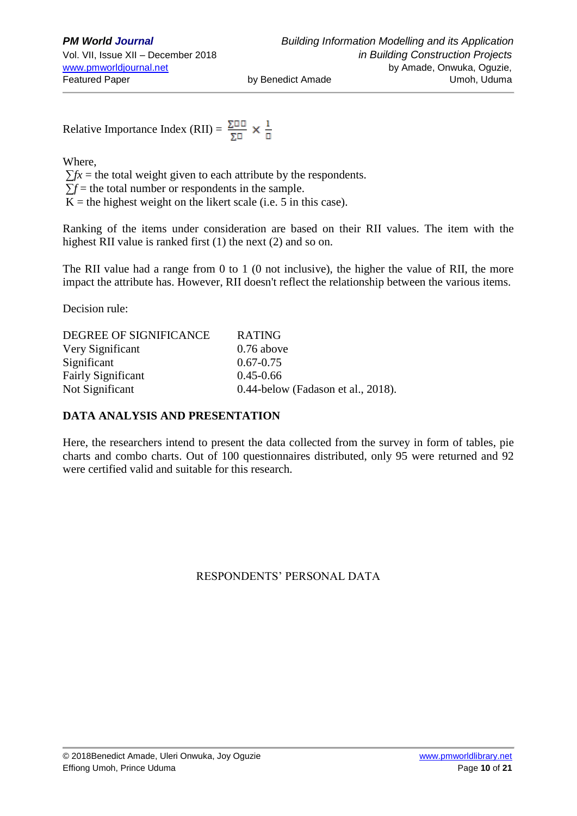Relative Importance Index (RII) =  $\frac{\Sigma \Box \Box}{\Sigma \Box} \times \frac{1}{\Box}$ 

Where,

 $\sum fx =$  the total weight given to each attribute by the respondents.  $\Sigma f$  = the total number or respondents in the sample.

 $K =$  the highest weight on the likert scale (i.e. 5 in this case).

Ranking of the items under consideration are based on their RII values. The item with the highest RII value is ranked first (1) the next (2) and so on.

The RII value had a range from 0 to 1 (0 not inclusive), the higher the value of RII, the more impact the attribute has. However, RII doesn't reflect the relationship between the various items.

Decision rule:

| DEGREE OF SIGNIFICANCE    | <b>RATING</b>                         |
|---------------------------|---------------------------------------|
| Very Significant          | $0.76$ above                          |
| Significant               | $0.67 - 0.75$                         |
| <b>Fairly Significant</b> | $0.45 - 0.66$                         |
| Not Significant           | $0.44$ -below (Fadason et al., 2018). |

### **DATA ANALYSIS AND PRESENTATION**

Here, the researchers intend to present the data collected from the survey in form of tables, pie charts and combo charts. Out of 100 questionnaires distributed, only 95 were returned and 92 were certified valid and suitable for this research.

# RESPONDENTS' PERSONAL DATA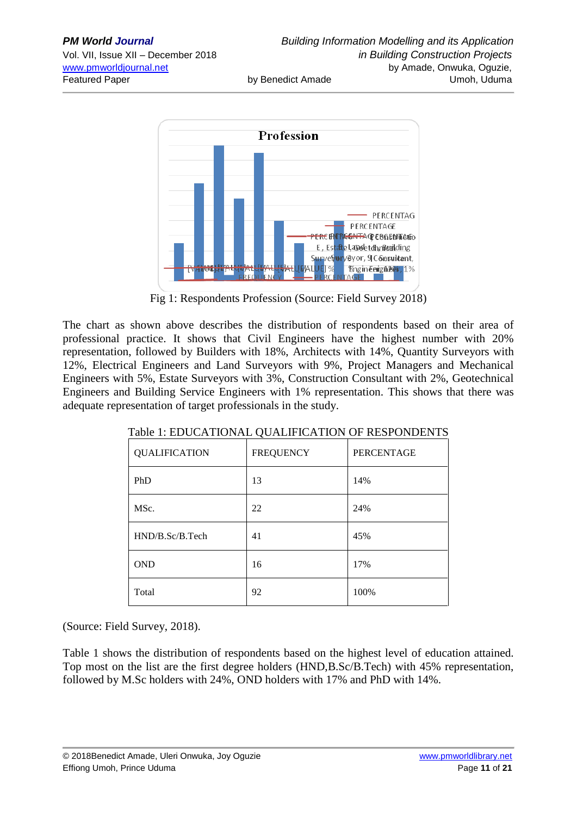

Fig 1: Respondents Profession (Source: Field Survey 2018)

The chart as shown above describes the distribution of respondents based on their area of professional practice. It shows that Civil Engineers have the highest number with 20% representation, followed by Builders with 18%, Architects with 14%, Quantity Surveyors with 12%, Electrical Engineers and Land Surveyors with 9%, Project Managers and Mechanical Engineers with 5%, Estate Surveyors with 3%, Construction Consultant with 2%, Geotechnical Engineers and Building Service Engineers with 1% representation. This shows that there was adequate representation of target professionals in the study.

| <b>QUALIFICATION</b> | <b>FREQUENCY</b> | <b>PERCENTAGE</b> |
|----------------------|------------------|-------------------|
| PhD                  | 13               | 14%               |
| MSc.                 | 22               | 24%               |
| HND/B.Sc/B.Tech      | 41               | 45%               |
| <b>OND</b>           | 16               | 17%               |
| Total                | 92               | 100%              |

Table 1: EDUCATIONAL QUALIFICATION OF RESPONDENTS

(Source: Field Survey, 2018).

Table 1 shows the distribution of respondents based on the highest level of education attained. Top most on the list are the first degree holders (HND,B.Sc/B.Tech) with 45% representation, followed by M.Sc holders with 24%, OND holders with 17% and PhD with 14%.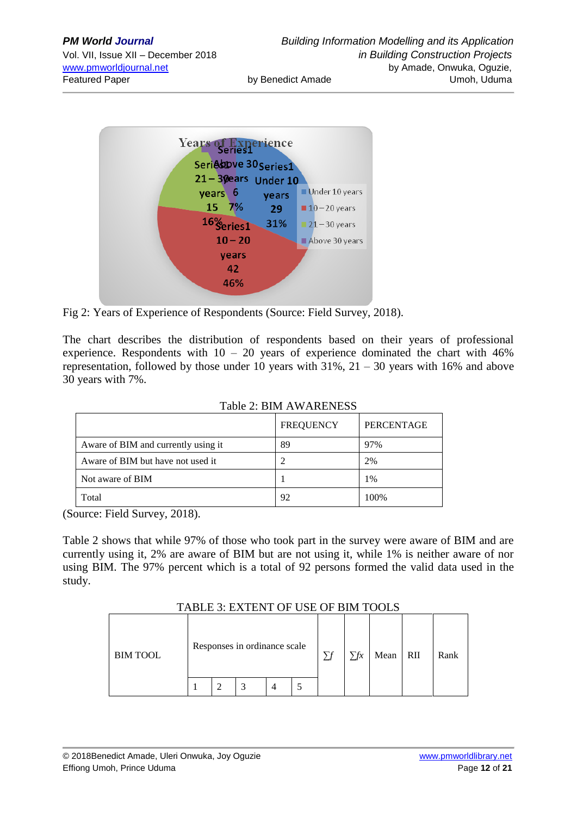| <b>PM World Journal</b>             |                   | <b>Building Information Modelling and its Application</b> |
|-------------------------------------|-------------------|-----------------------------------------------------------|
| Vol. VII, Issue XII - December 2018 |                   | in Building Construction Projects                         |
| www.pmworldjournal.net              |                   | by Amade, Onwuka, Oguzie,                                 |
| <b>Featured Paper</b>               | by Benedict Amade | Umoh, Uduma                                               |
|                                     |                   |                                                           |



Fig 2: Years of Experience of Respondents (Source: Field Survey, 2018).

The chart describes the distribution of respondents based on their years of professional experience. Respondents with  $10 - 20$  years of experience dominated the chart with  $46\%$ representation, followed by those under 10 years with  $31\%$ ,  $21 - 30$  years with 16% and above 30 years with 7%.

|                                     | <b>FREQUENCY</b> | PERCENTAGE |
|-------------------------------------|------------------|------------|
| Aware of BIM and currently using it | 89               | 97%        |
| Aware of BIM but have not used it   |                  | 2%         |
| Not aware of BIM                    |                  | 1%         |
| Total                               | 92               | 100%       |

Table 2: BIM AWARENESS

(Source: Field Survey, 2018).

Table 2 shows that while 97% of those who took part in the survey were aware of BIM and are currently using it, 2% are aware of BIM but are not using it, while 1% is neither aware of nor using BIM. The 97% percent which is a total of 92 persons formed the valid data used in the study.

TABLE 3: EXTENT OF USE OF BIM TOOLS

| Responses in ordinance scale<br><b>BIM TOOL</b> |  |  |  |  | $\nabla$ | $\sum fx$ | Mean RII | Rank |  |
|-------------------------------------------------|--|--|--|--|----------|-----------|----------|------|--|
|                                                 |  |  |  |  |          |           |          |      |  |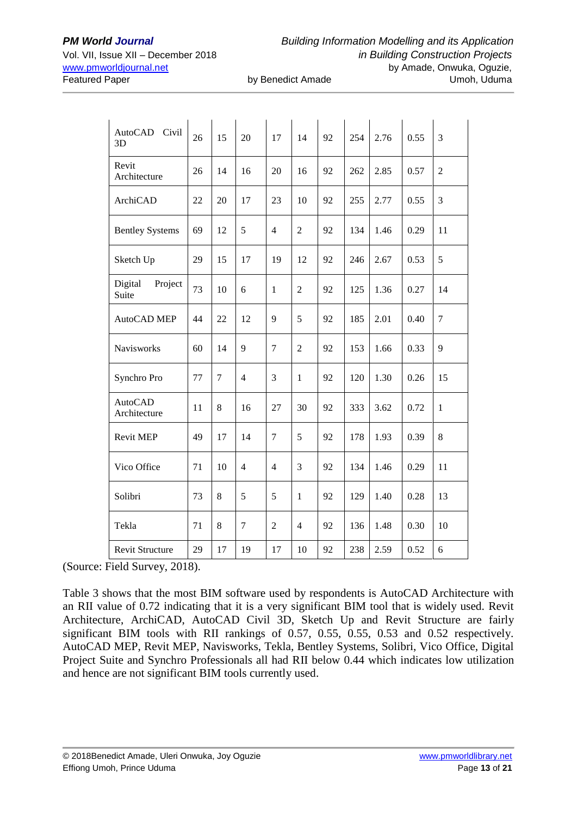| AutoCAD<br>Civil<br>3D         | 26 | 15             | 20             | 17             | 14             | 92 | 254 | 2.76 | 0.55 | 3              |
|--------------------------------|----|----------------|----------------|----------------|----------------|----|-----|------|------|----------------|
| Revit<br>Architecture          | 26 | 14             | 16             | 20             | 16             | 92 | 262 | 2.85 | 0.57 | $\overline{2}$ |
| ArchiCAD                       | 22 | 20             | 17             | 23             | 10             | 92 | 255 | 2.77 | 0.55 | 3              |
| <b>Bentley Systems</b>         | 69 | 12             | 5              | 4              | $\overline{2}$ | 92 | 134 | 1.46 | 0.29 | 11             |
| Sketch Up                      | 29 | 15             | 17             | 19             | 12             | 92 | 246 | 2.67 | 0.53 | 5              |
| Digital<br>Project<br>Suite    | 73 | 10             | 6              | $\mathbf{1}$   | $\overline{2}$ | 92 | 125 | 1.36 | 0.27 | 14             |
| AutoCAD MEP                    | 44 | 22             | 12             | 9              | 5              | 92 | 185 | 2.01 | 0.40 | $\overline{7}$ |
| Navisworks                     | 60 | 14             | 9              | $\tau$         | $\overline{2}$ | 92 | 153 | 1.66 | 0.33 | 9              |
| Synchro Pro                    | 77 | $\overline{7}$ | $\overline{4}$ | 3              | $\mathbf{1}$   | 92 | 120 | 1.30 | 0.26 | 15             |
| <b>AutoCAD</b><br>Architecture | 11 | 8              | 16             | 27             | 30             | 92 | 333 | 3.62 | 0.72 | $\mathbf{1}$   |
| <b>Revit MEP</b>               | 49 | 17             | 14             | 7              | 5              | 92 | 178 | 1.93 | 0.39 | 8              |
| Vico Office                    | 71 | 10             | $\overline{4}$ | 4              | 3              | 92 | 134 | 1.46 | 0.29 | 11             |
| Solibri                        | 73 | 8              | 5              | 5              | $\mathbf{1}$   | 92 | 129 | 1.40 | 0.28 | 13             |
| Tekla                          | 71 | 8              | $\tau$         | $\overline{c}$ | $\overline{4}$ | 92 | 136 | 1.48 | 0.30 | 10             |
| <b>Revit Structure</b>         | 29 | 17             | 19             | 17             | 10             | 92 | 238 | 2.59 | 0.52 | 6              |

(Source: Field Survey, 2018).

Table 3 shows that the most BIM software used by respondents is AutoCAD Architecture with an RII value of 0.72 indicating that it is a very significant BIM tool that is widely used. Revit Architecture, ArchiCAD, AutoCAD Civil 3D, Sketch Up and Revit Structure are fairly significant BIM tools with RII rankings of 0.57, 0.55, 0.55, 0.53 and 0.52 respectively. AutoCAD MEP, Revit MEP, Navisworks, Tekla, Bentley Systems, Solibri, Vico Office, Digital Project Suite and Synchro Professionals all had RII below 0.44 which indicates low utilization and hence are not significant BIM tools currently used.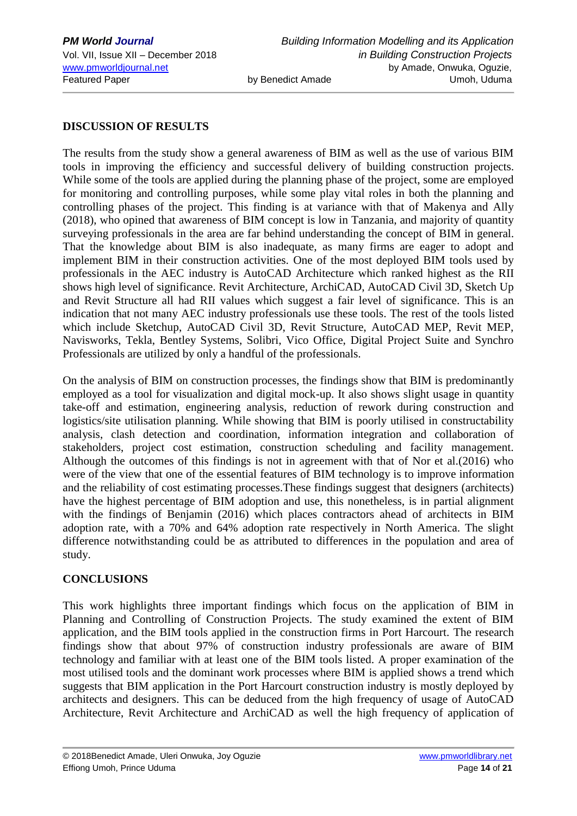#### **DISCUSSION OF RESULTS**

The results from the study show a general awareness of BIM as well as the use of various BIM tools in improving the efficiency and successful delivery of building construction projects. While some of the tools are applied during the planning phase of the project, some are employed for monitoring and controlling purposes, while some play vital roles in both the planning and controlling phases of the project. This finding is at variance with that of Makenya and Ally (2018), who opined that awareness of BIM concept is low in Tanzania, and majority of quantity surveying professionals in the area are far behind understanding the concept of BIM in general. That the knowledge about BIM is also inadequate, as many firms are eager to adopt and implement BIM in their construction activities. One of the most deployed BIM tools used by professionals in the AEC industry is AutoCAD Architecture which ranked highest as the RII shows high level of significance. Revit Architecture, ArchiCAD, AutoCAD Civil 3D, Sketch Up and Revit Structure all had RII values which suggest a fair level of significance. This is an indication that not many AEC industry professionals use these tools. The rest of the tools listed which include Sketchup, AutoCAD Civil 3D, Revit Structure, AutoCAD MEP, Revit MEP, Navisworks, Tekla, Bentley Systems, Solibri, Vico Office, Digital Project Suite and Synchro Professionals are utilized by only a handful of the professionals.

On the analysis of BIM on construction processes, the findings show that BIM is predominantly employed as a tool for visualization and digital mock-up. It also shows slight usage in quantity take-off and estimation, engineering analysis, reduction of rework during construction and logistics/site utilisation planning. While showing that BIM is poorly utilised in constructability analysis, clash detection and coordination, information integration and collaboration of stakeholders, project cost estimation, construction scheduling and facility management. Although the outcomes of this findings is not in agreement with that of Nor et al.(2016) who were of the view that one of the essential features of BIM technology is to improve information and the reliability of cost estimating processes.These findings suggest that designers (architects) have the highest percentage of BIM adoption and use, this nonetheless, is in partial alignment with the findings of Benjamin (2016) which places contractors ahead of architects in BIM adoption rate, with a 70% and 64% adoption rate respectively in North America. The slight difference notwithstanding could be as attributed to differences in the population and area of study.

#### **CONCLUSIONS**

This work highlights three important findings which focus on the application of BIM in Planning and Controlling of Construction Projects. The study examined the extent of BIM application, and the BIM tools applied in the construction firms in Port Harcourt. The research findings show that about 97% of construction industry professionals are aware of BIM technology and familiar with at least one of the BIM tools listed. A proper examination of the most utilised tools and the dominant work processes where BIM is applied shows a trend which suggests that BIM application in the Port Harcourt construction industry is mostly deployed by architects and designers. This can be deduced from the high frequency of usage of AutoCAD Architecture, Revit Architecture and ArchiCAD as well the high frequency of application of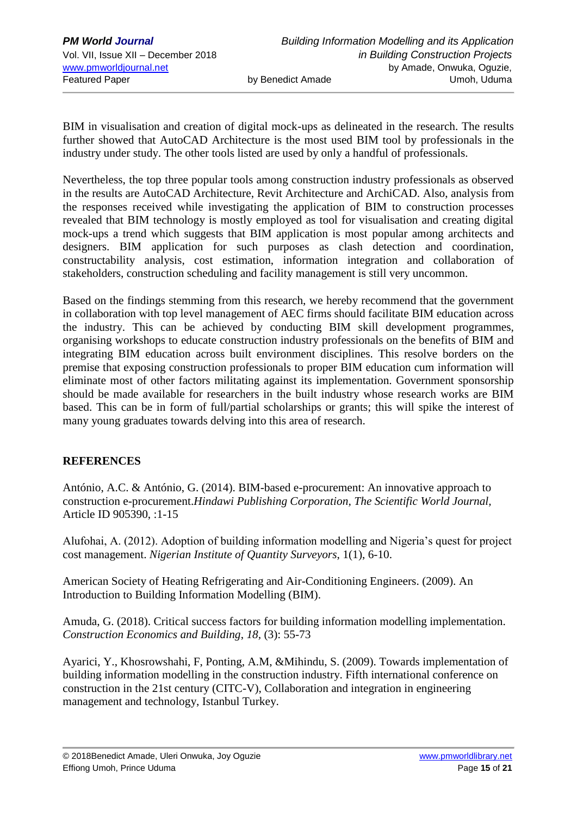BIM in visualisation and creation of digital mock-ups as delineated in the research. The results further showed that AutoCAD Architecture is the most used BIM tool by professionals in the industry under study. The other tools listed are used by only a handful of professionals.

Nevertheless, the top three popular tools among construction industry professionals as observed in the results are AutoCAD Architecture, Revit Architecture and ArchiCAD. Also, analysis from the responses received while investigating the application of BIM to construction processes revealed that BIM technology is mostly employed as tool for visualisation and creating digital mock-ups a trend which suggests that BIM application is most popular among architects and designers. BIM application for such purposes as clash detection and coordination, constructability analysis, cost estimation, information integration and collaboration of stakeholders, construction scheduling and facility management is still very uncommon.

Based on the findings stemming from this research, we hereby recommend that the government in collaboration with top level management of AEC firms should facilitate BIM education across the industry. This can be achieved by conducting BIM skill development programmes, organising workshops to educate construction industry professionals on the benefits of BIM and integrating BIM education across built environment disciplines. This resolve borders on the premise that exposing construction professionals to proper BIM education cum information will eliminate most of other factors militating against its implementation. Government sponsorship should be made available for researchers in the built industry whose research works are BIM based. This can be in form of full/partial scholarships or grants; this will spike the interest of many young graduates towards delving into this area of research.

# **REFERENCES**

António, A.C. & António, G. (2014). BIM-based e-procurement: An innovative approach to construction e-procurement.*Hindawi Publishing Corporation, The Scientific World Journal,* Article ID 905390, :1-15

Alufohai, A. (2012). Adoption of building information modelling and Nigeria's quest for project cost management. *Nigerian Institute of Quantity Surveyors*, 1(1), 6-10.

American Society of Heating Refrigerating and Air-Conditioning Engineers. (2009). An Introduction to Building Information Modelling (BIM).

Amuda, G. (2018). Critical success factors for building information modelling implementation. *Construction Economics and Building*, *18,* (3): 55-73

Ayarici, Y., Khosrowshahi, F, Ponting, A.M, &Mihindu, S. (2009). Towards implementation of building information modelling in the construction industry. Fifth international conference on construction in the 21st century (CITC-V), Collaboration and integration in engineering management and technology, Istanbul Turkey.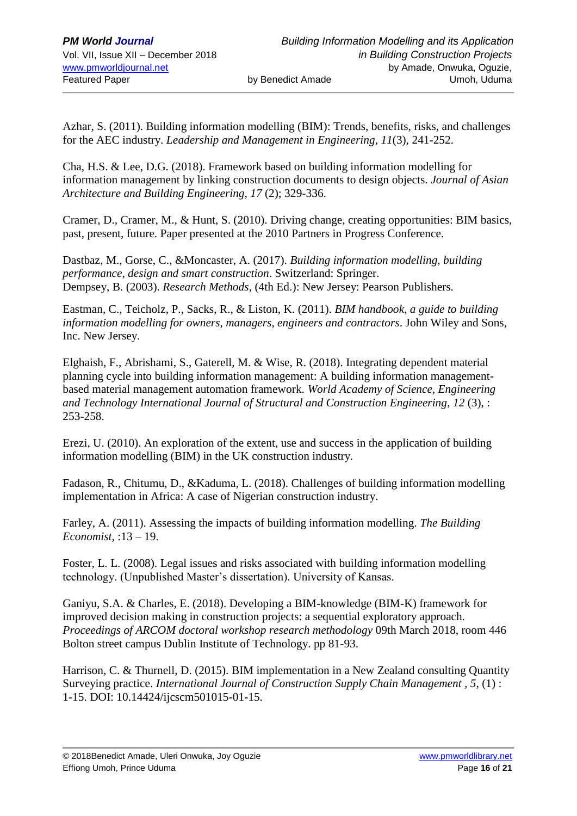Azhar, S. (2011). Building information modelling (BIM): Trends, benefits, risks, and challenges for the AEC industry. *Leadership and Management in Engineering*, *11*(3), 241-252.

Cha, H.S. & Lee, D.G. (2018). Framework based on building information modelling for information management by linking construction documents to design objects. *Journal of Asian Architecture and Building Engineering, 17* (2); 329-336.

Cramer, D., Cramer, M., & Hunt, S. (2010). Driving change, creating opportunities: BIM basics, past, present, future. Paper presented at the 2010 Partners in Progress Conference.

Dastbaz, M., Gorse, C., &Moncaster, A. (2017). *Building information modelling, building performance, design and smart construction*. Switzerland: Springer. Dempsey, B. (2003). *Research Methods*, (4th Ed.): New Jersey: Pearson Publishers.

Eastman, C., Teicholz, P., Sacks, R., & Liston, K. (2011). *BIM handbook, a guide to building information modelling for owners, managers, engineers and contractors*. John Wiley and Sons, Inc. New Jersey.

Elghaish, F., Abrishami, S., Gaterell, M. & Wise, R. (2018). Integrating dependent material planning cycle into building information management: A building information managementbased material management automation framework. *World Academy of Science, Engineering and Technology International Journal of Structural and Construction Engineering*, *12* (3), : 253-258.

Erezi, U. (2010). An exploration of the extent, use and success in the application of building information modelling (BIM) in the UK construction industry.

Fadason, R., Chitumu, D., &Kaduma, L. (2018). Challenges of building information modelling implementation in Africa: A case of Nigerian construction industry.

Farley, A. (2011). Assessing the impacts of building information modelling. *The Building Economist,* :13 – 19.

Foster, L. L. (2008). Legal issues and risks associated with building information modelling technology. (Unpublished Master's dissertation). University of Kansas.

Ganiyu, S.A. & Charles, E. (2018). Developing a BIM-knowledge (BIM-K) framework for improved decision making in construction projects: a sequential exploratory approach. *Proceedings of ARCOM doctoral workshop research methodology* 09th March 2018, room 446 Bolton street campus Dublin Institute of Technology. pp 81-93.

Harrison, C. & Thurnell, D. (2015). BIM implementation in a New Zealand consulting Quantity Surveying practice. *International Journal of Construction Supply Chain Management , 5*, (1) : 1-15. DOI: 10.14424/ijcscm501015-01-15.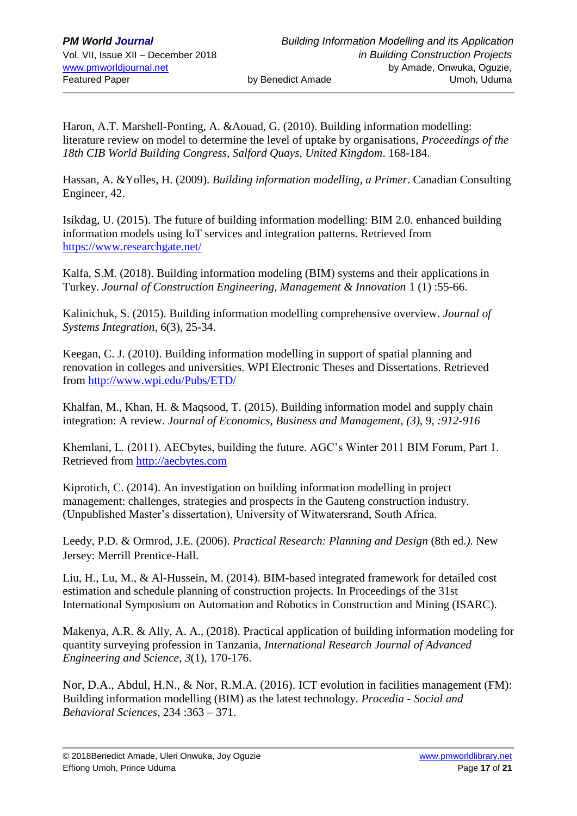Haron, A.T. Marshell-Ponting, A. &Aouad, G. (2010). Building information modelling: literature review on model to determine the level of uptake by organisations, *Proceedings of the 18th CIB World Building Congress, Salford Quays, United Kingdom*. 168-184.

Hassan, A. &Yolles, H. (2009). *Building information modelling, a Primer*. Canadian Consulting Engineer, 42.

Isikdag, U. (2015). The future of building information modelling: BIM 2.0. enhanced building information models using IoT services and integration patterns. Retrieved from <https://www.researchgate.net/>

Kalfa, S.M. (2018). Building information modeling (BIM) systems and their applications in Turkey. *Journal of Construction Engineering, Management & Innovation* 1 (1) :55-66.

Kalinichuk, S. (2015). Building information modelling comprehensive overview. *Journal of Systems Integration,* 6(3), 25-34.

Keegan, C. J. (2010). Building information modelling in support of spatial planning and renovation in colleges and universities. WPI Electronic Theses and Dissertations. Retrieved from<http://www.wpi.edu/Pubs/ETD/>

Khalfan, M., Khan, H. & Maqsood, T. (2015). Building information model and supply chain integration: A review. *Journal of Economics, Business and Management, (3),* 9*, :912-916*

Khemlani, L. (2011). AECbytes, building the future. AGC's Winter 2011 BIM Forum, Part 1. Retrieved from [http://aecbytes.com](http://aecbytes.com/)

Kiprotich, C. (2014). An investigation on building information modelling in project management: challenges, strategies and prospects in the Gauteng construction industry. (Unpublished Master's dissertation), University of Witwatersrand, South Africa.

Leedy, P.D. & Ormrod, J.E. (2006). *Practical Research: Planning and Design* (8th ed.*).* New Jersey: Merrill Prentice-Hall.

Liu, H., Lu, M., & Al-Hussein, M. (2014). BIM-based integrated framework for detailed cost estimation and schedule planning of construction projects. In Proceedings of the 31st International Symposium on Automation and Robotics in Construction and Mining (ISARC).

Makenya, A.R. & Ally, A. A., (2018). Practical application of building information modeling for quantity surveying profession in Tanzania, *International Research Journal of Advanced Engineering and Science*, *3*(1), 170-176.

Nor, D.A., Abdul, H.N., & Nor, R.M.A. (2016). ICT evolution in facilities management (FM): Building information modelling (BIM) as the latest technology. *Procedia - Social and Behavioral Sciences*, 234 :363 – 371.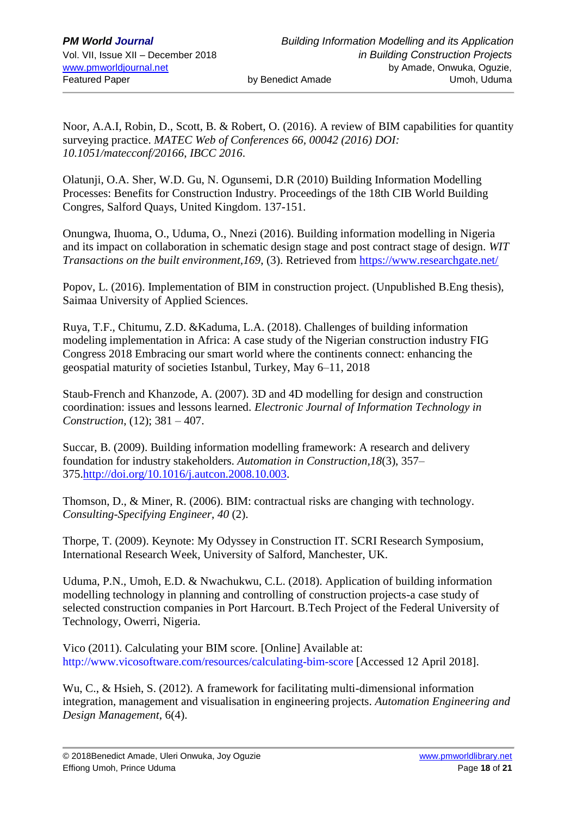Noor, A.A.I, Robin, D., Scott, B. & Robert, O. (2016). A review of BIM capabilities for quantity surveying practice. *MATEC Web of Conferences 66, 00042 (2016) DOI: 10.1051/matecconf/20166*, *IBCC 2016*.

Olatunji, O.A. Sher, W.D. Gu, N. Ogunsemi, D.R (2010) Building Information Modelling Processes: Benefits for Construction Industry. Proceedings of the 18th CIB World Building Congres, Salford Quays, United Kingdom. 137-151.

Onungwa, Ihuoma, O., Uduma, O., Nnezi (2016). Building information modelling in Nigeria and its impact on collaboration in schematic design stage and post contract stage of design. *WIT Transactions on the built environment, 169, (3).* Retrieved from<https://www.researchgate.net/>

Popov, L. (2016). Implementation of BIM in construction project. (Unpublished B.Eng thesis), Saimaa University of Applied Sciences.

Ruya, T.F., Chitumu, Z.D. &Kaduma, L.A. (2018). Challenges of building information modeling implementation in Africa: A case study of the Nigerian construction industry FIG Congress 2018 Embracing our smart world where the continents connect: enhancing the geospatial maturity of societies Istanbul, Turkey, May 6–11, 2018

Staub-French and Khanzode, A. (2007). 3D and 4D modelling for design and construction coordination: issues and lessons learned. *Electronic Journal of Information Technology in Construction*, (12); 381 – 407.

Succar, B. (2009). Building information modelling framework: A research and delivery foundation for industry stakeholders. *Automation in Construction,18*(3), 357– 375[.http://doi.org/10.1016/j.autcon.2008.10.003.](http://doi.org/10.1016/j.autcon.2008.10.003)

Thomson, D., & Miner, R. (2006). BIM: contractual risks are changing with technology. *Consulting-Specifying Engineer*, *40* (2).

Thorpe, T. (2009). Keynote: My Odyssey in Construction IT. SCRI Research Symposium, International Research Week, University of Salford, Manchester, UK.

Uduma, P.N., Umoh, E.D. & Nwachukwu, C.L. (2018). Application of building information modelling technology in planning and controlling of construction projects-a case study of selected construction companies in Port Harcourt. B.Tech Project of the Federal University of Technology, Owerri, Nigeria.

Vico (2011). Calculating your BIM score. [Online] Available at: http://www.vicosoftware.com/resources/calculating-bim-score [Accessed 12 April 2018].

Wu, C., & Hsieh, S. (2012). A framework for facilitating multi-dimensional information integration, management and visualisation in engineering projects. *Automation Engineering and Design Management*, 6(4).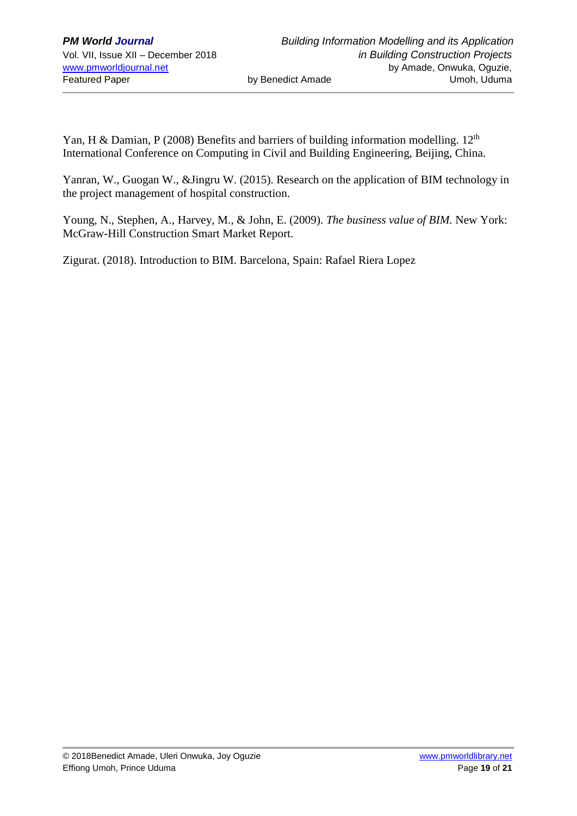Yan, H & Damian, P (2008) Benefits and barriers of building information modelling.  $12<sup>th</sup>$ International Conference on Computing in Civil and Building Engineering, Beijing, China.

Yanran, W., Guogan W., &Jingru W. (2015). Research on the application of BIM technology in the project management of hospital construction.

Young, N., Stephen, A., Harvey, M., & John, E. (2009). *The business value of BIM.* New York: McGraw-Hill Construction Smart Market Report.

Zigurat. (2018). Introduction to BIM. Barcelona, Spain: Rafael Riera Lopez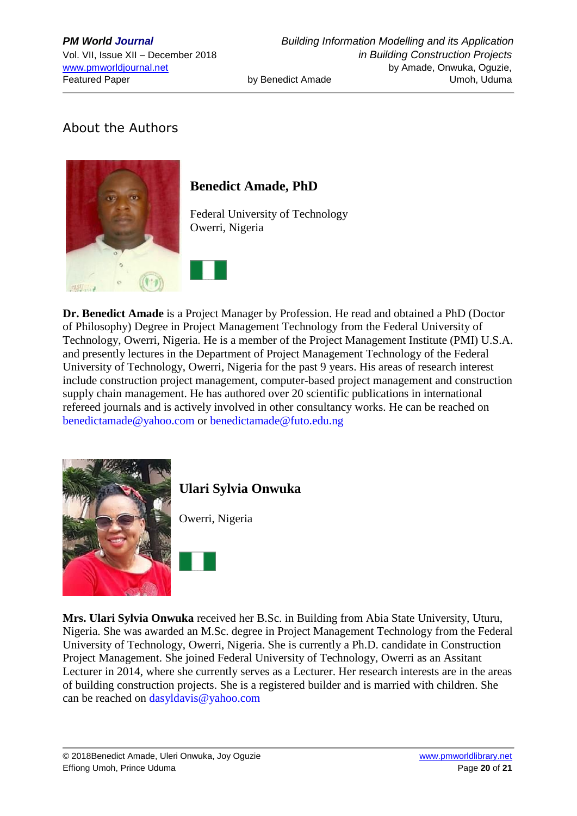# About the Authors



# **Benedict Amade, PhD**

Federal University of Technology Owerri, Nigeria

**Dr. Benedict Amade** is a Project Manager by Profession. He read and obtained a PhD (Doctor of Philosophy) Degree in Project Management Technology from the Federal University of Technology, Owerri, Nigeria. He is a member of the Project Management Institute (PMI) U.S.A. and presently lectures in the Department of Project Management Technology of the Federal University of Technology, Owerri, Nigeria for the past 9 years. His areas of research interest include construction project management, computer-based project management and construction supply chain management. He has authored over 20 scientific publications in international refereed journals and is actively involved in other consultancy works. He can be reached on [benedictamade@yahoo.com](mailto:benedictamade@yahoo.com) or [benedictamade@futo.edu.ng](mailto:benedictamade@futo.edu.ng)



# **Ulari Sylvia Onwuka**

Owerri, Nigeria

**Mrs. Ulari Sylvia Onwuka** received her B.Sc. in Building from Abia State University, Uturu, Nigeria. She was awarded an M.Sc. degree in Project Management Technology from the Federal University of Technology, Owerri, Nigeria. She is currently a Ph.D. candidate in Construction Project Management. She joined Federal University of Technology, Owerri as an Assitant Lecturer in 2014, where she currently serves as a Lecturer. Her research interests are in the areas of building construction projects. She is a registered builder and is married with children. She can be reached on [dasyldavis@yahoo.com](mailto:dasyldavis@yahoo.com)